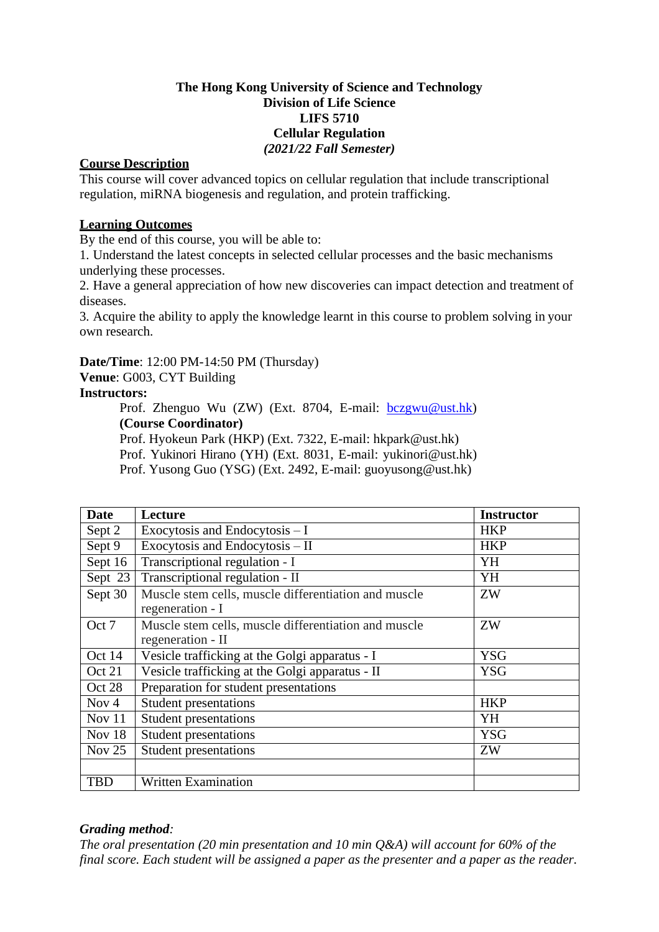### **The Hong Kong University of Science and Technology Division of Life Science LIFS 5710 Cellular Regulation** *(2021/22 Fall Semester)*

#### **Course Description**

This course will cover advanced topics on cellular regulation that include transcriptional regulation, miRNA biogenesis and regulation, and protein trafficking.

## **Learning Outcomes**

By the end of this course, you will be able to:

1. Understand the latest concepts in selected cellular processes and the basic mechanisms underlying these processes.

2. Have a general appreciation of how new discoveries can impact detection and treatment of diseases.

3. Acquire the ability to apply the knowledge learnt in this course to problem solving in your own research.

**Date/Time**: 12:00 PM-14:50 PM (Thursday)

**Venue**: G003, CYT Building

### **Instructors:**

Prof. Zhenguo Wu (ZW) (Ext. 8704, E-mail: **bczgwu@ust.hk**) **(Course Coordinator)**

Prof. Hyokeun Park (HKP) (Ext. 7322, E-mail: hkpark@ust.hk)

Prof. Yukinori Hirano (YH) (Ext. 8031, E-mail: yukinori@ust.hk)

Prof. Yusong Guo (YSG) (Ext. 2492, E-mail: guoyusong@ust.hk)

| Date       | Lecture                                              | <b>Instructor</b> |
|------------|------------------------------------------------------|-------------------|
| Sept 2     | Exocytosis and Endocytosis $-I$                      | <b>HKP</b>        |
| Sept 9     | Exocytosis and Endocytosis - II                      | <b>HKP</b>        |
| Sept 16    | Transcriptional regulation - I                       | YH                |
| Sept 23    | Transcriptional regulation - II                      | YH                |
| Sept 30    | Muscle stem cells, muscle differentiation and muscle | ZW                |
|            | regeneration - I                                     |                   |
| Oct 7      | Muscle stem cells, muscle differentiation and muscle | ZW                |
|            | regeneration - II                                    |                   |
| Oct 14     | Vesicle trafficking at the Golgi apparatus - I       | <b>YSG</b>        |
| Oct 21     | Vesicle trafficking at the Golgi apparatus - II      | <b>YSG</b>        |
| Oct 28     | Preparation for student presentations                |                   |
| Nov $4$    | Student presentations                                | <b>HKP</b>        |
| Nov 11     | <b>Student presentations</b>                         | YH                |
| Nov 18     | <b>Student presentations</b>                         | <b>YSG</b>        |
| Nov $25$   | <b>Student presentations</b>                         | ZW                |
|            |                                                      |                   |
| <b>TBD</b> | Written Examination                                  |                   |

# *Grading method:*

*The oral presentation (20 min presentation and 10 min Q&A) will account for 60% of the final score. Each student will be assigned a paper as the presenter and a paper as the reader.*